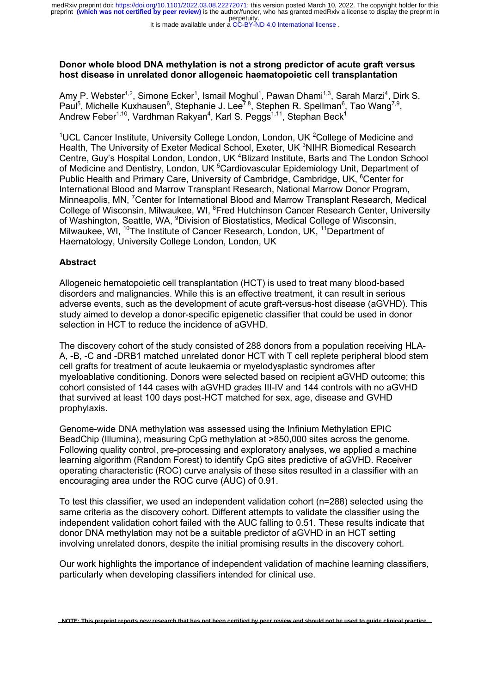It is made available under a [CC-BY-ND 4.0 International license](http://creativecommons.org/licenses/by-nd/4.0/) .

### **Donor whole blood DNA methylation is not a strong predictor of acute graft versus host disease in unrelated donor allogeneic haematopoietic cell transplantation**

Amy P. Webster<sup>1,2</sup>, Simone Ecker<sup>1</sup>, Ismail Moghul<sup>1</sup>, Pawan Dhami<sup>1,3</sup>, Sarah Marzi<sup>4</sup>, Dirk S. Paul<sup>5</sup>, Michelle Kuxhausen<sup>6</sup>, Stephanie J. Lee<sup>7,8</sup>, Stephen R. Spellman<sup>6</sup>, Tao Wang<sup>7,9</sup>, Andrew Feber<sup>1,10</sup>, Vardhman Rakyan<sup>4</sup>, Karl S. Peggs<sup>1,11</sup>, Stephan Beck<sup>1</sup>

<sup>1</sup>UCL Cancer Institute, University College London, London, UK  ${}^{2}$ College of Medicine and Health, The University of Exeter Medical School, Exeter, UK <sup>3</sup>NIHR Biomedical Research Centre, Guy's Hospital London, London, UK<sup>4</sup> Blizard Institute, Barts and The London School of Medicine and Dentistry, London, UK<sup>5</sup> Cardiovascular Epidemiology Unit, Department of Public Health and Primary Care, University of Cambridge, Cambridge, UK, <sup>6</sup>Center for International Blood and Marrow Transplant Research, National Marrow Donor Program, Minneapolis, MN, <sup>7</sup> Center for International Blood and Marrow Transplant Research, Medical College of Wisconsin, Milwaukee, WI, <sup>8</sup>Fred Hutchinson Cancer Research Center, University of Washington, Seattle, WA, <sup>9</sup>Division of Biostatistics, Medical College of Wisconsin, Milwaukee, WI, <sup>10</sup>The Institute of Cancer Research, London, UK, <sup>11</sup>Department of Haematology, University College London, London, UK

## **Abstract**

Allogeneic hematopoietic cell transplantation (HCT) is used to treat many blood-based disorders and malignancies. While this is an effective treatment, it can result in serious adverse events, such as the development of acute graft-versus-host disease (aGVHD). This study aimed to develop a donor-specific epigenetic classifier that could be used in donor selection in HCT to reduce the incidence of aGVHD.

The discovery cohort of the study consisted of 288 donors from a population receiving HLA-A, -B, -C and -DRB1 matched unrelated donor HCT with T cell replete peripheral blood stem cell grafts for treatment of acute leukaemia or myelodysplastic syndromes after myeloablative conditioning. Donors were selected based on recipient aGVHD outcome; this cohort consisted of 144 cases with aGVHD grades III-IV and 144 controls with no aGVHD that survived at least 100 days post-HCT matched for sex, age, disease and GVHD prophylaxis.

Genome-wide DNA methylation was assessed using the Infinium Methylation EPIC BeadChip (Illumina), measuring CpG methylation at >850,000 sites across the genome. Following quality control, pre-processing and exploratory analyses, we applied a machine learning algorithm (Random Forest) to identify CpG sites predictive of aGVHD. Receiver operating characteristic (ROC) curve analysis of these sites resulted in a classifier with an encouraging area under the ROC curve (AUC) of 0.91.

To test this classifier, we used an independent validation cohort (n=288) selected using the same criteria as the discovery cohort. Different attempts to validate the classifier using the independent validation cohort failed with the AUC falling to 0.51. These results indicate that donor DNA methylation may not be a suitable predictor of aGVHD in an HCT setting involving unrelated donors, despite the initial promising results in the discovery cohort.

Our work highlights the importance of independent validation of machine learning classifiers, particularly when developing classifiers intended for clinical use.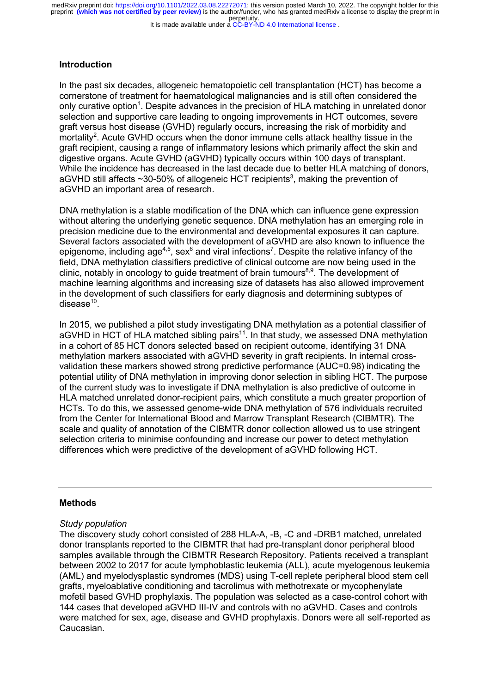#### It is made available under a [CC-BY-ND 4.0 International license](http://creativecommons.org/licenses/by-nd/4.0/) .

#### **Introduction**

In the past six decades, allogeneic hematopoietic cell transplantation (HCT) has become a cornerstone of treatment for haematological malignancies and is still often considered the only curative option<sup>1</sup>. Despite advances in the precision of HLA matching in unrelated donor selection and supportive care leading to ongoing improvements in HCT outcomes, severe graft versus host disease (GVHD) regularly occurs, increasing the risk of morbidity and mortality<sup>2</sup>. Acute GVHD occurs when the donor immune cells attack healthy tissue in the graft recipient, causing a range of inflammatory lesions which primarily affect the skin and digestive organs. Acute GVHD (aGVHD) typically occurs within 100 days of transplant. While the incidence has decreased in the last decade due to better HLA matching of donors, aGVHD still affects ~30-50% of allogeneic HCT recipients<sup>3</sup>, making the prevention of aGVHD an important area of research.

DNA methylation is a stable modification of the DNA which can influence gene expression without altering the underlying genetic sequence. DNA methylation has an emerging role in precision medicine due to the environmental and developmental exposures it can capture. Several factors associated with the development of aGVHD are also known to influence the epigenome, including age<sup>4,5</sup>, sex<sup>6</sup> and viral infections<sup>7</sup>. Despite the relative infancy of the field, DNA methylation classifiers predictive of clinical outcome are now being used in the clinic, notably in oncology to guide treatment of brain tumours<sup>8,9</sup>. The development of machine learning algorithms and increasing size of datasets has also allowed improvement in the development of such classifiers for early diagnosis and determining subtypes of disease $10<sub>10</sub>$ .

In 2015, we published a pilot study investigating DNA methylation as a potential classifier of aGVHD in HCT of HLA matched sibling pairs<sup>11</sup>. In that study, we assessed DNA methylation in a cohort of 85 HCT donors selected based on recipient outcome, identifying 31 DNA methylation markers associated with aGVHD severity in graft recipients. In internal crossvalidation these markers showed strong predictive performance (AUC=0.98) indicating the potential utility of DNA methylation in improving donor selection in sibling HCT. The purpose of the current study was to investigate if DNA methylation is also predictive of outcome in HLA matched unrelated donor-recipient pairs, which constitute a much greater proportion of HCTs. To do this, we assessed genome-wide DNA methylation of 576 individuals recruited from the Center for International Blood and Marrow Transplant Research (CIBMTR). The scale and quality of annotation of the CIBMTR donor collection allowed us to use stringent selection criteria to minimise confounding and increase our power to detect methylation differences which were predictive of the development of aGVHD following HCT.

#### **Methods**

#### *Study population*

The discovery study cohort consisted of 288 HLA-A, -B, -C and -DRB1 matched, unrelated donor transplants reported to the CIBMTR that had pre-transplant donor peripheral blood samples available through the CIBMTR Research Repository. Patients received a transplant between 2002 to 2017 for acute lymphoblastic leukemia (ALL), acute myelogenous leukemia (AML) and myelodysplastic syndromes (MDS) using T-cell replete peripheral blood stem cell grafts, myeloablative conditioning and tacrolimus with methotrexate or mycophenylate mofetil based GVHD prophylaxis. The population was selected as a case-control cohort with 144 cases that developed aGVHD III-IV and controls with no aGVHD. Cases and controls were matched for sex, age, disease and GVHD prophylaxis. Donors were all self-reported as Caucasian.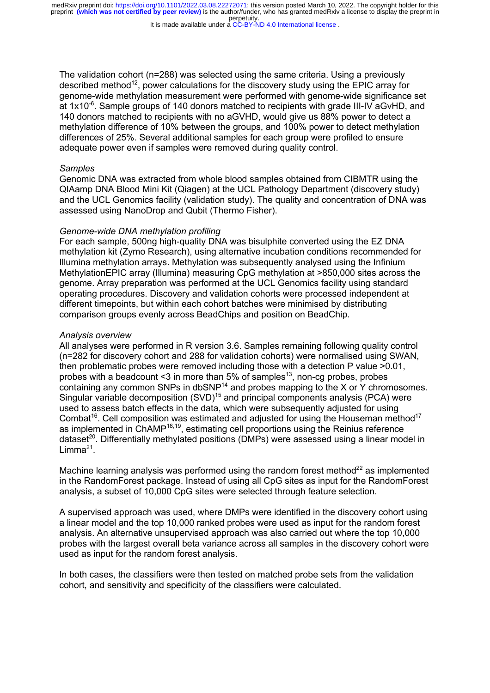It is made available under a [CC-BY-ND 4.0 International license](http://creativecommons.org/licenses/by-nd/4.0/) .

The validation cohort (n=288) was selected using the same criteria. Using a previously described method<sup>12</sup>, power calculations for the discovery study using the EPIC array for genome-wide methylation measurement were performed with genome-wide significance set at 1x10<sup>-6</sup>. Sample groups of 140 donors matched to recipients with grade III-IV aGvHD, and 140 donors matched to recipients with no aGVHD, would give us 88% power to detect a methylation difference of 10% between the groups, and 100% power to detect methylation differences of 25%. Several additional samples for each group were profiled to ensure adequate power even if samples were removed during quality control.

#### *Samples*

Genomic DNA was extracted from whole blood samples obtained from CIBMTR using the QIAamp DNA Blood Mini Kit (Qiagen) at the UCL Pathology Department (discovery study) and the UCL Genomics facility (validation study). The quality and concentration of DNA was assessed using NanoDrop and Qubit (Thermo Fisher).

#### *Genome-wide DNA methylation profiling*

For each sample, 500ng high-quality DNA was bisulphite converted using the EZ DNA methylation kit (Zymo Research), using alternative incubation conditions recommended for Illumina methylation arrays. Methylation was subsequently analysed using the Infinium MethylationEPIC array (Illumina) measuring CpG methylation at >850,000 sites across the genome. Array preparation was performed at the UCL Genomics facility using standard operating procedures. Discovery and validation cohorts were processed independent at different timepoints, but within each cohort batches were minimised by distributing comparison groups evenly across BeadChips and position on BeadChip.

#### *Analysis overview*

All analyses were performed in R version 3.6. Samples remaining following quality control (n=282 for discovery cohort and 288 for validation cohorts) were normalised using SWAN, then problematic probes were removed including those with a detection P value >0.01, probes with a beadcount <3 in more than  $5\%$  of samples<sup>13</sup>, non-cq probes, probes containing any common SNPs in dbSNP<sup>14</sup> and probes mapping to the X or Y chromosomes. Singular variable decomposition (SVD)<sup>15</sup> and principal components analysis (PCA) were used to assess batch effects in the data, which were subsequently adjusted for using Combat<sup>16</sup>. Cell composition was estimated and adjusted for using the Houseman method<sup>17</sup> as implemented in ChAMP18,19, estimating cell proportions using the Reinius reference dataset<sup>20</sup>. Differentially methylated positions (DMPs) were assessed using a linear model in Limma $^{21}$ .

Machine learning analysis was performed using the random forest method $^{22}$  as implemented in the RandomForest package. Instead of using all CpG sites as input for the RandomForest analysis, a subset of 10,000 CpG sites were selected through feature selection.

A supervised approach was used, where DMPs were identified in the discovery cohort using a linear model and the top 10,000 ranked probes were used as input for the random forest analysis. An alternative unsupervised approach was also carried out where the top 10,000 probes with the largest overall beta variance across all samples in the discovery cohort were used as input for the random forest analysis.

In both cases, the classifiers were then tested on matched probe sets from the validation cohort, and sensitivity and specificity of the classifiers were calculated.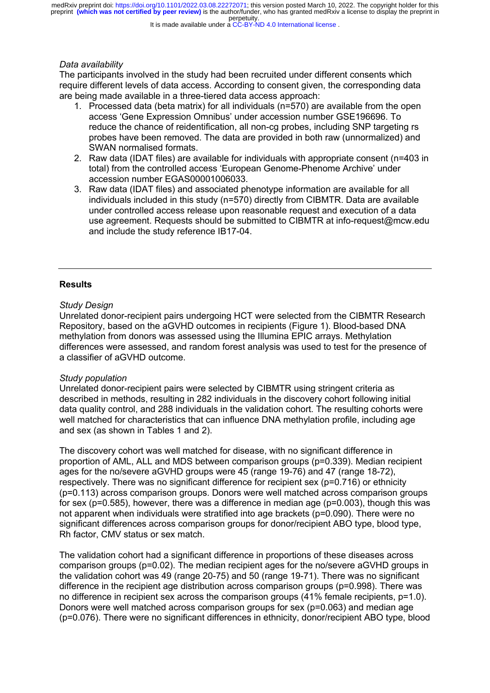It is made available under a [CC-BY-ND 4.0 International license](http://creativecommons.org/licenses/by-nd/4.0/) .

#### *Data availability*

The participants involved in the study had been recruited under different consents which require different levels of data access. According to consent given, the corresponding data are being made available in a three-tiered data access approach:

- 1. Processed data (beta matrix) for all individuals (n=570) are available from the open access 'Gene Expression Omnibus' under accession number GSE196696. To reduce the chance of reidentification, all non-cg probes, including SNP targeting rs probes have been removed. The data are provided in both raw (unnormalized) and SWAN normalised formats.
- 2. Raw data (IDAT files) are available for individuals with appropriate consent (n=403 in total) from the controlled access 'European Genome-Phenome Archive' under accession number EGAS00001006033.
- 3. Raw data (IDAT files) and associated phenotype information are available for all individuals included in this study (n=570) directly from CIBMTR. Data are available under controlled access release upon reasonable request and execution of a data use agreement. Requests should be submitted to CIBMTR at info-request@mcw.edu and include the study reference IB17-04.

#### **Results**

#### *Study Design*

Unrelated donor-recipient pairs undergoing HCT were selected from the CIBMTR Research Repository, based on the aGVHD outcomes in recipients (Figure 1). Blood-based DNA methylation from donors was assessed using the Illumina EPIC arrays. Methylation differences were assessed, and random forest analysis was used to test for the presence of a classifier of aGVHD outcome.

#### *Study population*

Unrelated donor-recipient pairs were selected by CIBMTR using stringent criteria as described in methods, resulting in 282 individuals in the discovery cohort following initial data quality control, and 288 individuals in the validation cohort. The resulting cohorts were well matched for characteristics that can influence DNA methylation profile, including age and sex (as shown in Tables 1 and 2).

The discovery cohort was well matched for disease, with no significant difference in proportion of AML, ALL and MDS between comparison groups (p=0.339). Median recipient ages for the no/severe aGVHD groups were 45 (range 19-76) and 47 (range 18-72), respectively. There was no significant difference for recipient sex (p=0.716) or ethnicity (p=0.113) across comparison groups. Donors were well matched across comparison groups for sex (p=0.585), however, there was a difference in median age (p=0.003), though this was not apparent when individuals were stratified into age brackets (p=0.090). There were no significant differences across comparison groups for donor/recipient ABO type, blood type, Rh factor, CMV status or sex match.

The validation cohort had a significant difference in proportions of these diseases across comparison groups (p=0.02). The median recipient ages for the no/severe aGVHD groups in the validation cohort was 49 (range 20-75) and 50 (range 19-71). There was no significant difference in the recipient age distribution across comparison groups (p=0.998). There was no difference in recipient sex across the comparison groups (41% female recipients, p=1.0). Donors were well matched across comparison groups for sex (p=0.063) and median age (p=0.076). There were no significant differences in ethnicity, donor/recipient ABO type, blood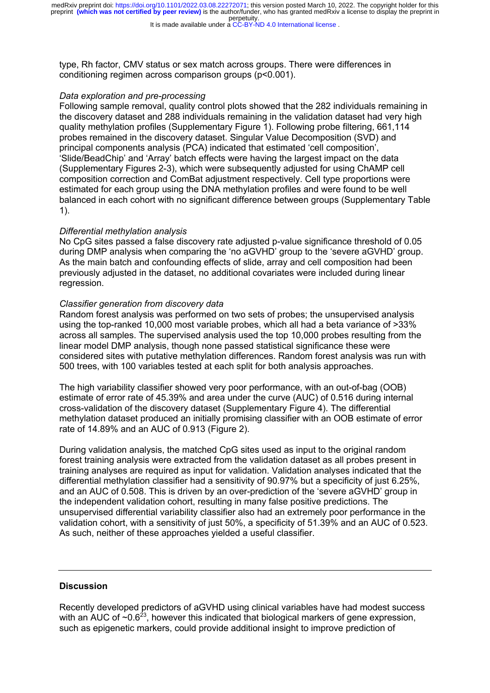It is made available under a [CC-BY-ND 4.0 International license](http://creativecommons.org/licenses/by-nd/4.0/) .

type, Rh factor, CMV status or sex match across groups. There were differences in conditioning regimen across comparison groups (p<0.001).

#### *Data exploration and pre-processing*

Following sample removal, quality control plots showed that the 282 individuals remaining in the discovery dataset and 288 individuals remaining in the validation dataset had very high quality methylation profiles (Supplementary Figure 1). Following probe filtering, 661,114 probes remained in the discovery dataset. Singular Value Decomposition (SVD) and principal components analysis (PCA) indicated that estimated 'cell composition', 'Slide/BeadChip' and 'Array' batch effects were having the largest impact on the data (Supplementary Figures 2-3), which were subsequently adjusted for using ChAMP cell composition correction and ComBat adjustment respectively. Cell type proportions were estimated for each group using the DNA methylation profiles and were found to be well balanced in each cohort with no significant difference between groups (Supplementary Table 1).

#### *Differential methylation analysis*

No CpG sites passed a false discovery rate adjusted p-value significance threshold of 0.05 during DMP analysis when comparing the 'no aGVHD' group to the 'severe aGVHD' group. As the main batch and confounding effects of slide, array and cell composition had been previously adjusted in the dataset, no additional covariates were included during linear regression.

#### *Classifier generation from discovery data*

Random forest analysis was performed on two sets of probes; the unsupervised analysis using the top-ranked 10,000 most variable probes, which all had a beta variance of >33% across all samples. The supervised analysis used the top 10,000 probes resulting from the linear model DMP analysis, though none passed statistical significance these were considered sites with putative methylation differences. Random forest analysis was run with 500 trees, with 100 variables tested at each split for both analysis approaches.

The high variability classifier showed very poor performance, with an out-of-bag (OOB) estimate of error rate of 45.39% and area under the curve (AUC) of 0.516 during internal cross-validation of the discovery dataset (Supplementary Figure 4). The differential methylation dataset produced an initially promising classifier with an OOB estimate of error rate of 14.89% and an AUC of 0.913 (Figure 2).

During validation analysis, the matched CpG sites used as input to the original random forest training analysis were extracted from the validation dataset as all probes present in training analyses are required as input for validation. Validation analyses indicated that the differential methylation classifier had a sensitivity of 90.97% but a specificity of just 6.25%, and an AUC of 0.508. This is driven by an over-prediction of the 'severe aGVHD' group in the independent validation cohort, resulting in many false positive predictions. The unsupervised differential variability classifier also had an extremely poor performance in the validation cohort, with a sensitivity of just 50%, a specificity of 51.39% and an AUC of 0.523. As such, neither of these approaches yielded a useful classifier.

#### **Discussion**

Recently developed predictors of aGVHD using clinical variables have had modest success with an AUC of  $\sim 0.6^{23}$ , however this indicated that biological markers of gene expression, such as epigenetic markers, could provide additional insight to improve prediction of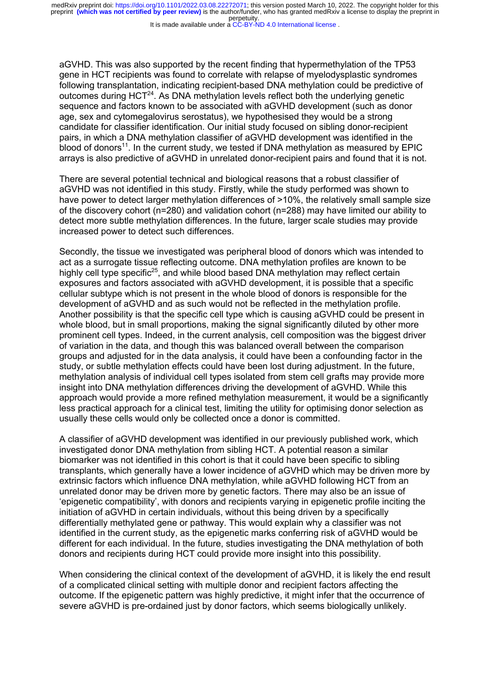It is made available under a [CC-BY-ND 4.0 International license](http://creativecommons.org/licenses/by-nd/4.0/) .

aGVHD. This was also supported by the recent finding that hypermethylation of the TP53 gene in HCT recipients was found to correlate with relapse of myelodysplastic syndromes following transplantation, indicating recipient-based DNA methylation could be predictive of outcomes during  $HCT^{24}$ . As DNA methylation levels reflect both the underlying genetic sequence and factors known to be associated with aGVHD development (such as donor age, sex and cytomegalovirus serostatus), we hypothesised they would be a strong candidate for classifier identification. Our initial study focused on sibling donor-recipient pairs, in which a DNA methylation classifier of aGVHD development was identified in the blood of donors<sup>11</sup>. In the current study, we tested if DNA methylation as measured by EPIC arrays is also predictive of aGVHD in unrelated donor-recipient pairs and found that it is not.

There are several potential technical and biological reasons that a robust classifier of aGVHD was not identified in this study. Firstly, while the study performed was shown to have power to detect larger methylation differences of  $>10\%$ , the relatively small sample size of the discovery cohort (n=280) and validation cohort (n=288) may have limited our ability to detect more subtle methylation differences. In the future, larger scale studies may provide increased power to detect such differences.

Secondly, the tissue we investigated was peripheral blood of donors which was intended to act as a surrogate tissue reflecting outcome. DNA methylation profiles are known to be highly cell type specific<sup>25</sup>, and while blood based DNA methylation may reflect certain exposures and factors associated with aGVHD development, it is possible that a specific cellular subtype which is not present in the whole blood of donors is responsible for the development of aGVHD and as such would not be reflected in the methylation profile. Another possibility is that the specific cell type which is causing aGVHD could be present in whole blood, but in small proportions, making the signal significantly diluted by other more prominent cell types. Indeed, in the current analysis, cell composition was the biggest driver of variation in the data, and though this was balanced overall between the comparison groups and adjusted for in the data analysis, it could have been a confounding factor in the study, or subtle methylation effects could have been lost during adjustment. In the future, methylation analysis of individual cell types isolated from stem cell grafts may provide more insight into DNA methylation differences driving the development of aGVHD. While this approach would provide a more refined methylation measurement, it would be a significantly less practical approach for a clinical test, limiting the utility for optimising donor selection as usually these cells would only be collected once a donor is committed.

A classifier of aGVHD development was identified in our previously published work, which investigated donor DNA methylation from sibling HCT. A potential reason a similar biomarker was not identified in this cohort is that it could have been specific to sibling transplants, which generally have a lower incidence of aGVHD which may be driven more by extrinsic factors which influence DNA methylation, while aGVHD following HCT from an unrelated donor may be driven more by genetic factors. There may also be an issue of 'epigenetic compatibility', with donors and recipients varying in epigenetic profile inciting the initiation of aGVHD in certain individuals, without this being driven by a specifically differentially methylated gene or pathway. This would explain why a classifier was not identified in the current study, as the epigenetic marks conferring risk of aGVHD would be different for each individual. In the future, studies investigating the DNA methylation of both donors and recipients during HCT could provide more insight into this possibility.

When considering the clinical context of the development of aGVHD, it is likely the end result of a complicated clinical setting with multiple donor and recipient factors affecting the outcome. If the epigenetic pattern was highly predictive, it might infer that the occurrence of severe aGVHD is pre-ordained just by donor factors, which seems biologically unlikely.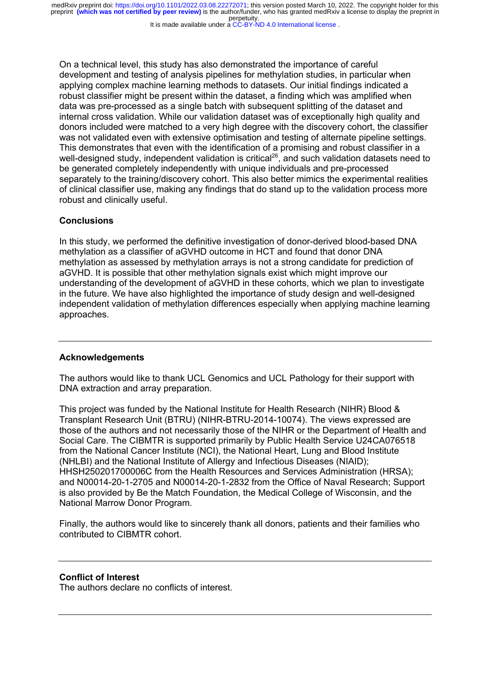It is made available under a [CC-BY-ND 4.0 International license](http://creativecommons.org/licenses/by-nd/4.0/) .

On a technical level, this study has also demonstrated the importance of careful development and testing of analysis pipelines for methylation studies, in particular when applying complex machine learning methods to datasets. Our initial findings indicated a robust classifier might be present within the dataset, a finding which was amplified when data was pre-processed as a single batch with subsequent splitting of the dataset and internal cross validation. While our validation dataset was of exceptionally high quality and donors included were matched to a very high degree with the discovery cohort, the classifier was not validated even with extensive optimisation and testing of alternate pipeline settings. This demonstrates that even with the identification of a promising and robust classifier in a well-designed study, independent validation is critical<sup>26</sup>, and such validation datasets need to be generated completely independently with unique individuals and pre-processed separately to the training/discovery cohort. This also better mimics the experimental realities of clinical classifier use, making any findings that do stand up to the validation process more robust and clinically useful.

#### **Conclusions**

In this study, we performed the definitive investigation of donor-derived blood-based DNA methylation as a classifier of aGVHD outcome in HCT and found that donor DNA methylation as assessed by methylation arrays is not a strong candidate for prediction of aGVHD. It is possible that other methylation signals exist which might improve our understanding of the development of aGVHD in these cohorts, which we plan to investigate in the future. We have also highlighted the importance of study design and well-designed independent validation of methylation differences especially when applying machine learning approaches.

#### **Acknowledgements**

The authors would like to thank UCL Genomics and UCL Pathology for their support with DNA extraction and array preparation.

This project was funded by the National Institute for Health Research (NIHR) Blood & Transplant Research Unit (BTRU) (NIHR-BTRU-2014-10074). The views expressed are those of the authors and not necessarily those of the NIHR or the Department of Health and Social Care. The CIBMTR is supported primarily by Public Health Service U24CA076518 from the National Cancer Institute (NCI), the National Heart, Lung and Blood Institute (NHLBI) and the National Institute of Allergy and Infectious Diseases (NIAID); HHSH250201700006C from the Health Resources and Services Administration (HRSA); and N00014-20-1-2705 and N00014-20-1-2832 from the Office of Naval Research; Support is also provided by Be the Match Foundation, the Medical College of Wisconsin, and the National Marrow Donor Program.

Finally, the authors would like to sincerely thank all donors, patients and their families who contributed to CIBMTR cohort.

#### **Conflict of Interest**

The authors declare no conflicts of interest.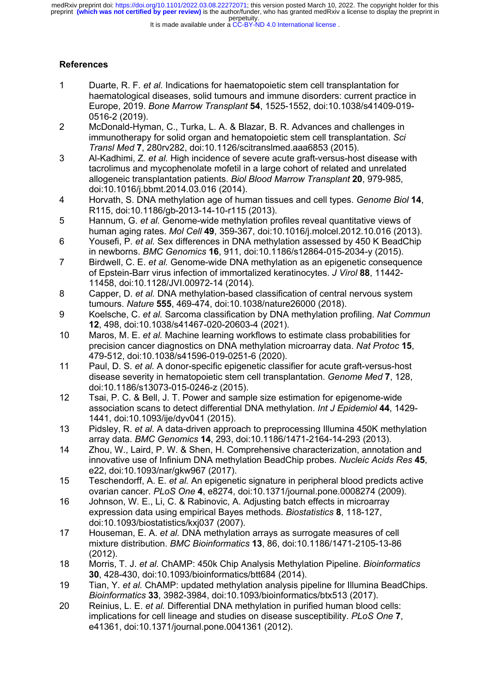It is made available under a [CC-BY-ND 4.0 International license](http://creativecommons.org/licenses/by-nd/4.0/) .

## **References**

- 1 Duarte, R. F. *et al.* Indications for haematopoietic stem cell transplantation for haematological diseases, solid tumours and immune disorders: current practice in Europe, 2019. *Bone Marrow Transplant* **54**, 1525-1552, doi:10.1038/s41409-019- 0516-2 (2019).
- 2 McDonald-Hyman, C., Turka, L. A. & Blazar, B. R. Advances and challenges in immunotherapy for solid organ and hematopoietic stem cell transplantation. *Sci Transl Med* **7**, 280rv282, doi:10.1126/scitranslmed.aaa6853 (2015).
- 3 Al-Kadhimi, Z. *et al.* High incidence of severe acute graft-versus-host disease with tacrolimus and mycophenolate mofetil in a large cohort of related and unrelated allogeneic transplantation patients. *Biol Blood Marrow Transplant* **20**, 979-985, doi:10.1016/j.bbmt.2014.03.016 (2014).
- 4 Horvath, S. DNA methylation age of human tissues and cell types. *Genome Biol* **14**, R115, doi:10.1186/gb-2013-14-10-r115 (2013).
- 5 Hannum, G. *et al.* Genome-wide methylation profiles reveal quantitative views of human aging rates. *Mol Cell* **49**, 359-367, doi:10.1016/j.molcel.2012.10.016 (2013).
- 6 Yousefi, P. *et al.* Sex differences in DNA methylation assessed by 450 K BeadChip in newborns. *BMC Genomics* **16**, 911, doi:10.1186/s12864-015-2034-y (2015).
- 7 Birdwell, C. E. *et al.* Genome-wide DNA methylation as an epigenetic consequence of Epstein-Barr virus infection of immortalized keratinocytes. *J Virol* **88**, 11442- 11458, doi:10.1128/JVI.00972-14 (2014).
- 8 Capper, D. *et al.* DNA methylation-based classification of central nervous system tumours. *Nature* **555**, 469-474, doi:10.1038/nature26000 (2018).
- 9 Koelsche, C. *et al.* Sarcoma classification by DNA methylation profiling. *Nat Commun* **12**, 498, doi:10.1038/s41467-020-20603-4 (2021).
- 10 Maros, M. E. *et al.* Machine learning workflows to estimate class probabilities for precision cancer diagnostics on DNA methylation microarray data. *Nat Protoc* **15**, 479-512, doi:10.1038/s41596-019-0251-6 (2020).
- 11 Paul, D. S. *et al.* A donor-specific epigenetic classifier for acute graft-versus-host disease severity in hematopoietic stem cell transplantation. *Genome Med* **7**, 128, doi:10.1186/s13073-015-0246-z (2015).
- 12 Tsai, P. C. & Bell, J. T. Power and sample size estimation for epigenome-wide association scans to detect differential DNA methylation. *Int J Epidemiol* **44**, 1429- 1441, doi:10.1093/ije/dyv041 (2015).
- 13 Pidsley, R. *et al.* A data-driven approach to preprocessing Illumina 450K methylation array data. *BMC Genomics* **14**, 293, doi:10.1186/1471-2164-14-293 (2013).
- 14 Zhou, W., Laird, P. W. & Shen, H. Comprehensive characterization, annotation and innovative use of Infinium DNA methylation BeadChip probes. *Nucleic Acids Res* **45**, e22, doi:10.1093/nar/gkw967 (2017).
- 15 Teschendorff, A. E. *et al.* An epigenetic signature in peripheral blood predicts active ovarian cancer. *PLoS One* **4**, e8274, doi:10.1371/journal.pone.0008274 (2009).
- 16 Johnson, W. E., Li, C. & Rabinovic, A. Adjusting batch effects in microarray expression data using empirical Bayes methods. *Biostatistics* **8**, 118-127, doi:10.1093/biostatistics/kxj037 (2007).
- 17 Houseman, E. A. *et al.* DNA methylation arrays as surrogate measures of cell mixture distribution. *BMC Bioinformatics* **13**, 86, doi:10.1186/1471-2105-13-86 (2012).
- 18 Morris, T. J. *et al.* ChAMP: 450k Chip Analysis Methylation Pipeline. *Bioinformatics* **30**, 428-430, doi:10.1093/bioinformatics/btt684 (2014).
- 19 Tian, Y. *et al.* ChAMP: updated methylation analysis pipeline for Illumina BeadChips. *Bioinformatics* **33**, 3982-3984, doi:10.1093/bioinformatics/btx513 (2017).
- 20 Reinius, L. E. *et al.* Differential DNA methylation in purified human blood cells: implications for cell lineage and studies on disease susceptibility. *PLoS One* **7**, e41361, doi:10.1371/journal.pone.0041361 (2012).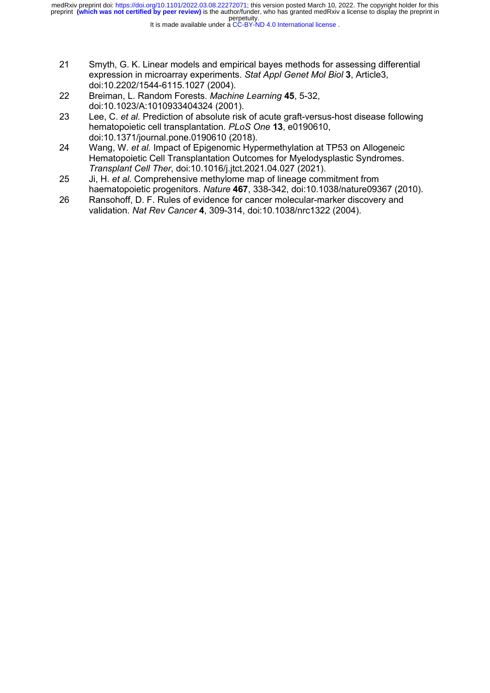- 21 Smyth, G. K. Linear models and empirical bayes methods for assessing differential expression in microarray experiments. *Stat Appl Genet Mol Biol* **3**, Article3, doi:10.2202/1544-6115.1027 (2004).
- 22 Breiman, L. Random Forests. *Machine Learning* **45**, 5-32, doi:10.1023/A:1010933404324 (2001).
- 23 Lee, C. *et al.* Prediction of absolute risk of acute graft-versus-host disease following hematopoietic cell transplantation. *PLoS One* **13**, e0190610, doi:10.1371/journal.pone.0190610 (2018).
- 24 Wang, W. *et al.* Impact of Epigenomic Hypermethylation at TP53 on Allogeneic Hematopoietic Cell Transplantation Outcomes for Myelodysplastic Syndromes. *Transplant Cell Ther*, doi:10.1016/j.jtct.2021.04.027 (2021).
- 25 Ji, H. *et al.* Comprehensive methylome map of lineage commitment from haematopoietic progenitors. *Nature* **467**, 338-342, doi:10.1038/nature09367 (2010).
- 26 Ransohoff, D. F. Rules of evidence for cancer molecular-marker discovery and validation. *Nat Rev Cancer* **4**, 309-314, doi:10.1038/nrc1322 (2004).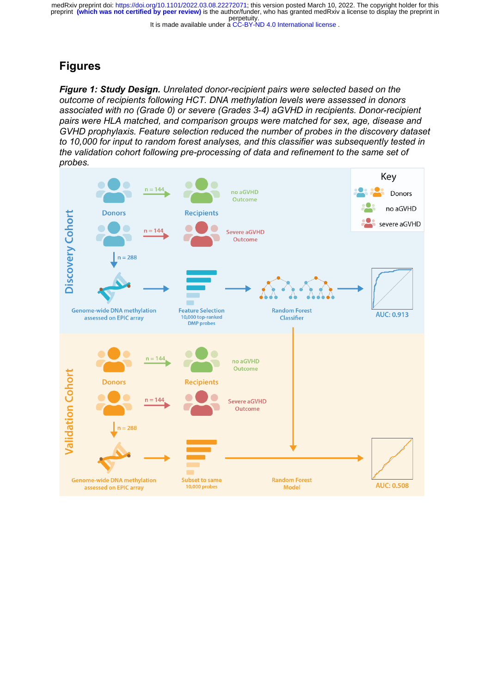#### It is made available under a [CC-BY-ND 4.0 International license](http://creativecommons.org/licenses/by-nd/4.0/) .

# **Figures**

*Figure 1: Study Design. Unrelated donor-recipient pairs were selected based on the outcome of recipients following HCT. DNA methylation levels were assessed in donors associated with no (Grade 0) or severe (Grades 3-4) aGVHD in recipients. Donor-recipient pairs were HLA matched, and comparison groups were matched for sex, age, disease and GVHD prophylaxis. Feature selection reduced the number of probes in the discovery dataset to 10,000 for input to random forest analyses, and this classifier was subsequently tested in the validation cohort following pre-processing of data and refinement to the same set of probes.* 

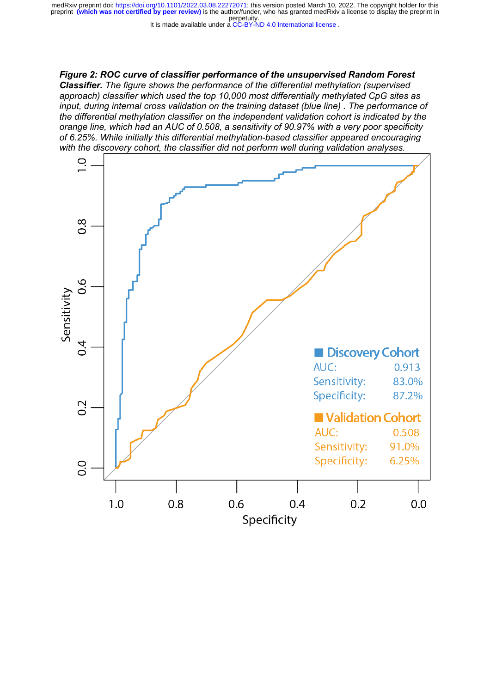It is made available under a [CC-BY-ND 4.0 International license](http://creativecommons.org/licenses/by-nd/4.0/) .

*Figure 2: ROC curve of classifier performance of the unsupervised Random Forest Classifier. The figure shows the performance of the differential methylation (supervised approach) classifier which used the top 10,000 most differentially methylated CpG sites as input, during internal cross validation on the training dataset (blue line) . The performance of the differential methylation classifier on the independent validation cohort is indicated by the orange line, which had an AUC of 0.508, a sensitivity of 90.97% with a very poor specificity of 6.25%. While initially this differential methylation-based classifier appeared encouraging with the discovery cohort, the classifier did not perform well during validation analyses.* 

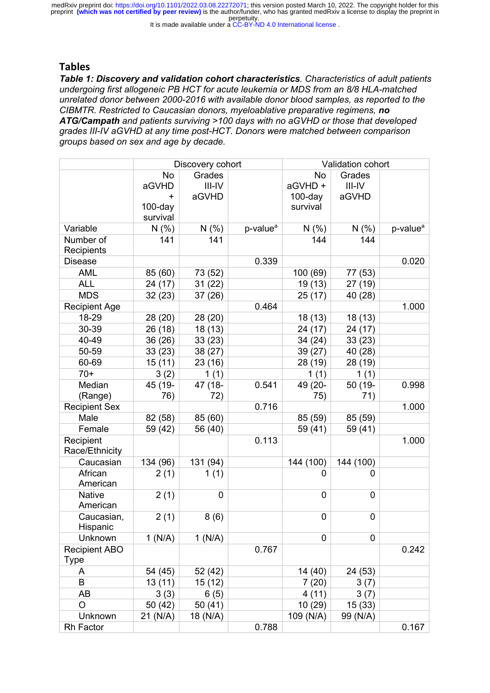It is made available under a [CC-BY-ND 4.0 International license](http://creativecommons.org/licenses/by-nd/4.0/) .

## **Tables**

*Table 1: Discovery and validation cohort characteristics. Characteristics of adult patients undergoing first allogeneic PB HCT for acute leukemia or MDS from an 8/8 HLA-matched unrelated donor between 2000-2016 with available donor blood samples, as reported to the CIBMTR. Restricted to Caucasian donors, myeloablative preparative regimens, no ATG/Campath and patients surviving >100 days with no aGVHD or those that developed grades III-IV aGVHD at any time post-HCT. Donors were matched between comparison groups based on sex and age by decade.*

|                           | Discovery cohort |             |                      | Validation cohort |           |                      |
|---------------------------|------------------|-------------|----------------------|-------------------|-----------|----------------------|
|                           | <b>No</b>        | Grades      |                      | <b>No</b>         | Grades    |                      |
|                           | aGVHD            | $III$ -IV   |                      | aGVHD +           | $III$ -IV |                      |
|                           | $\ddot{}$        | aGVHD       |                      | $100$ -day        | aGVHD     |                      |
|                           | $100$ -day       |             |                      | survival          |           |                      |
|                           | survival         |             |                      |                   |           |                      |
| Variable                  | N(% )            | N(% )       | p-value <sup>a</sup> | N(% )             | N(% )     | p-value <sup>a</sup> |
| Number of                 | 141              | 141         |                      | 144               | 144       |                      |
| Recipients                |                  |             |                      |                   |           |                      |
| <b>Disease</b>            |                  |             | 0.339                |                   |           | 0.020                |
| <b>AML</b>                | 85 (60)          | 73 (52)     |                      | 100 (69)          | 77 (53)   |                      |
| <b>ALL</b>                | 24 (17)          | 31(22)      |                      | 19(13)            | 27(19)    |                      |
| <b>MDS</b>                | 32(23)           | 37(26)      |                      | 25(17)            | 40 (28)   |                      |
| <b>Recipient Age</b>      |                  |             | 0.464                |                   |           | 1.000                |
| 18-29                     | 28 (20)          | 28 (20)     |                      | 18(13)            | 18 (13)   |                      |
| 30-39                     | 26 (18)          | 18 (13)     |                      | 24 (17)           | 24 (17)   |                      |
| 40-49                     | 36 (26)          | 33(23)      |                      | 34 (24)           | 33(23)    |                      |
| 50-59                     | 33 (23)          | 38 (27)     |                      | 39 (27)           | 40 (28)   |                      |
| 60-69                     | 15(11)           | 23(16)      |                      | 28 (19)           | 28 (19)   |                      |
| $70+$                     | 3(2)             | 1(1)        |                      | 1(1)              | 1(1)      |                      |
| Median                    | 45 (19-          | 47 (18-     | 0.541                | 49 (20-           | 50 (19-   | 0.998                |
| (Range)                   | 76)              | 72)         |                      | 75)               | 71)       |                      |
| <b>Recipient Sex</b>      |                  |             | 0.716                |                   |           | 1.000                |
| Male                      | 82 (58)          | 85 (60)     |                      | 85 (59)           | 85 (59)   |                      |
| Female                    | 59 (42)          | 56 (40)     |                      | 59 (41)           | 59 (41)   |                      |
| Recipient                 |                  |             | 0.113                |                   |           | 1.000                |
| Race/Ethnicity            |                  |             |                      |                   |           |                      |
| Caucasian                 | 134 (96)         | 131 (94)    |                      | 144 (100)         | 144 (100) |                      |
| African                   | 2(1)             | 1(1)        |                      | $\Omega$          | 0         |                      |
| American                  |                  |             |                      |                   |           |                      |
| <b>Native</b><br>American | 2(1)             | $\mathbf 0$ |                      | 0                 | 0         |                      |
| Caucasian,                | 2(1)             | 8(6)        |                      | $\mathbf 0$       | 0         |                      |
| Hispanic                  |                  |             |                      |                   |           |                      |
| Unknown                   | 1(N/A)           | 1(N/A)      |                      | 0                 | 0         |                      |
| <b>Recipient ABO</b>      |                  |             | 0.767                |                   |           | 0.242                |
| Type                      |                  |             |                      |                   |           |                      |
| A                         | 54 (45)          | 52 (42)     |                      | 14 (40)           | 24 (53)   |                      |
| B                         | 13 (11)          | 15(12)      |                      | 7(20)             | 3(7)      |                      |
| AB                        | 3(3)             | 6(5)        |                      | 4(11)             | 3(7)      |                      |
| O                         | 50 (42)          | 50 (41)     |                      | 10 (29)           | 15 (33)   |                      |
| Unknown                   | 21 (N/A)         | 18 (N/A)    |                      | 109 (N/A)         | 99 (N/A)  |                      |
| Rh Factor                 |                  |             | 0.788                |                   |           | 0.167                |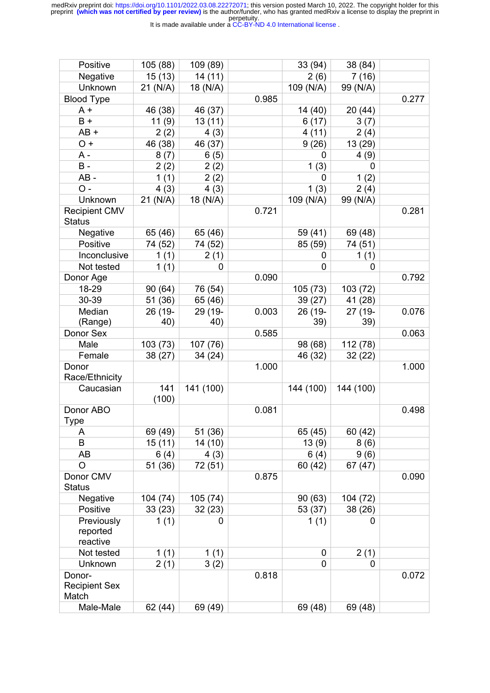It is made available under a [CC-BY-ND 4.0 International license](http://creativecommons.org/licenses/by-nd/4.0/) .

| Positive                                | 105 (88)     | 109 (89)  |       | 33 (94)   | 38 (84)     |       |
|-----------------------------------------|--------------|-----------|-------|-----------|-------------|-------|
| Negative                                | 15(13)       | 14 (11)   |       | 2(6)      | 7(16)       |       |
| Unknown                                 | 21 (N/A)     | 18 (N/A)  |       | 109 (N/A) | 99 (N/A)    |       |
| <b>Blood Type</b>                       |              |           | 0.985 |           |             | 0.277 |
| A +                                     | 46 (38)      | 46 (37)   |       | 14 (40)   | 20(44)      |       |
| $B +$                                   | 11(9)        | 13(11)    |       | 6(17)     | 3(7)        |       |
| $AB +$                                  | 2(2)         | 4(3)      |       | 4(11)     | 2(4)        |       |
| $O +$                                   | 46 (38)      | 46 (37)   |       | 9(26)     | 13 (29)     |       |
| $A -$                                   | 8(7)         | 6(5)      |       | 0         | 4(9)        |       |
| $B -$                                   | 2(2)         | 2(2)      |       | 1(3)      | $\mathbf 0$ |       |
| $AB -$                                  | 1(1)         | 2(2)      |       | 0         | 1(2)        |       |
| $O -$                                   | 4(3)         | 4(3)      |       | 1(3)      | 2(4)        |       |
| Unknown                                 | 21 (N/A)     | 18 (N/A)  |       | 109 (N/A) | 99 (N/A)    |       |
| <b>Recipient CMV</b><br><b>Status</b>   |              |           | 0.721 |           |             | 0.281 |
| Negative                                | 65 (46)      | 65 (46)   |       | 59 (41)   | 69 (48)     |       |
| Positive                                | 74 (52)      | 74 (52)   |       | 85 (59)   | 74 (51)     |       |
| Inconclusive                            | 1(1)         | 2(1)      |       | 0         | 1(1)        |       |
| Not tested                              | 1(1)         | 0         |       | 0         | 0           |       |
| Donor Age                               |              |           | 0.090 |           |             | 0.792 |
| 18-29                                   | 90 (64)      | 76 (54)   |       | 105(73)   | 103 (72)    |       |
| 30-39                                   | 51 (36)      | 65 (46)   |       | 39 (27)   | 41 (28)     |       |
| Median                                  | 26 (19-      | 29 (19-   | 0.003 | 26 (19-   | 27 (19-     | 0.076 |
| (Range)                                 | 40)          | 40)       |       | 39)       | 39)         |       |
| Donor Sex                               |              |           | 0.585 |           |             | 0.063 |
| Male                                    | 103 (73)     | 107 (76)  |       | 98 (68)   | 112 (78)    |       |
| Female                                  | 38 (27)      | 34 (24)   |       | 46 (32)   | 32(22)      |       |
| Donor                                   |              |           | 1.000 |           |             | 1.000 |
| Race/Ethnicity                          |              |           |       |           |             |       |
| Caucasian                               | 141<br>(100) | 141 (100) |       | 144 (100) | 144 (100)   |       |
| Donor ABO<br>Type                       |              |           | 0.081 |           |             | 0.498 |
| A                                       | 69 (49)      | 51 (36)   |       | 65 (45)   | 60 (42)     |       |
| B                                       | 15(11)       | 14(10)    |       | 13(9)     | 8(6)        |       |
| AB                                      | 6(4)         | 4(3)      |       | 6(4)      | 9(6)        |       |
| O                                       | 51 (36)      | 72 (51)   |       | 60 (42)   | 67 (47)     |       |
| Donor CMV<br><b>Status</b>              |              |           | 0.875 |           |             | 0.090 |
| Negative                                | 104 (74)     | 105 (74)  |       | 90(63)    | 104 (72)    |       |
| Positive                                | 33(23)       | 32(23)    |       | 53 (37)   | 38 (26)     |       |
| Previously<br>reported<br>reactive      | 1(1)         | 0         |       | 1(1)      | 0           |       |
| Not tested                              | 1(1)         | 1(1)      |       | 0         | 2(1)        |       |
| Unknown                                 | 2(1)         | 3(2)      |       | 0         | 0           |       |
| Donor-<br><b>Recipient Sex</b><br>Match |              |           | 0.818 |           |             | 0.072 |
| Male-Male                               | 62 (44)      | 69 (49)   |       | 69 (48)   | 69 (48)     |       |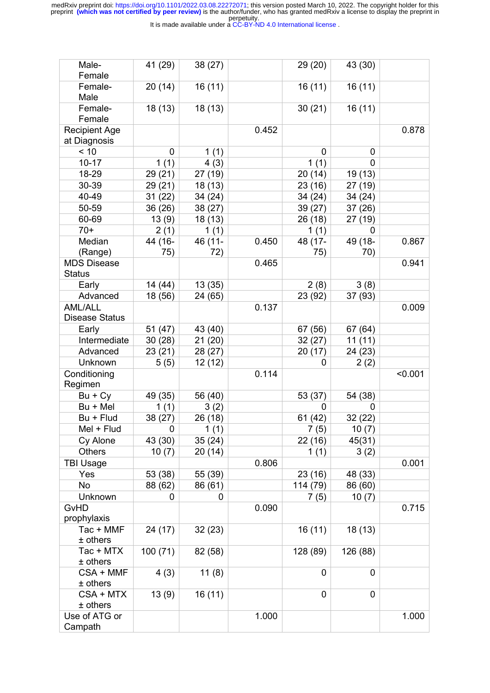It is made available under a [CC-BY-ND 4.0 International license](http://creativecommons.org/licenses/by-nd/4.0/) .

| Male-<br>Female                      | 41 (29)        | 38(27)         |       | 29 (20)        | 43 (30)        |         |
|--------------------------------------|----------------|----------------|-------|----------------|----------------|---------|
| Female-<br>Male                      | 20(14)         | 16(11)         |       | 16(11)         | 16(11)         |         |
| Female-<br>Female                    | 18(13)         | 18(13)         |       | 30(21)         | 16(11)         |         |
| <b>Recipient Age</b><br>at Diagnosis |                |                | 0.452 |                |                | 0.878   |
| < 10                                 | $\mathbf 0$    | 1(1)           |       | 0              | 0              |         |
| $10 - 17$                            | 1(1)           | 4(3)           |       | 1(1)           | $\mathbf{0}$   |         |
| 18-29                                | 29 (21)        | 27 (19)        |       | 20(14)         | 19 (13)        |         |
| 30-39                                | 29 (21)        | 18 (13)        |       | 23(16)         | 27 (19)        |         |
| 40-49                                | 31(22)         | 34 (24)        |       | 34 (24)        | 34 (24)        |         |
| 50-59                                | 36 (26)        | 38 (27)        |       | 39(27)         | 37 (26)        |         |
| 60-69                                | 13(9)          | 18 (13)        |       | 26 (18)        | 27 (19)        |         |
| $70+$                                |                |                |       |                | 0              |         |
| Median                               | 2(1)           | 1(1)           |       | 1(1)           |                |         |
| (Range)                              | 44 (16-<br>75) | 46 (11-<br>72) | 0.450 | 48 (17-<br>75) | 49 (18-<br>70) | 0.867   |
| <b>MDS Disease</b><br><b>Status</b>  |                |                | 0.465 |                |                | 0.941   |
| Early                                | 14 (44)        | 13(35)         |       | 2(8)           | 3(8)           |         |
| Advanced                             | 18 (56)        | 24 (65)        |       | 23 (92)        | 37 (93)        |         |
| <b>AML/ALL</b>                       |                |                | 0.137 |                |                | 0.009   |
| <b>Disease Status</b>                |                |                |       |                |                |         |
| Early                                | 51(47)         | 43 (40)        |       | 67 (56)        | 67 (64)        |         |
| Intermediate                         | 30(28)         | 21(20)         |       | 32(27)         | 11(11)         |         |
| Advanced                             | 23(21)         | 28 (27)        |       | 20(17)         | 24 (23)        |         |
| Unknown                              | 5(5)           | 12 (12)        |       | 0              | 2(2)           |         |
| Conditioning                         |                |                | 0.114 |                |                | < 0.001 |
| Regimen                              |                |                |       |                |                |         |
| $Bu + Cy$                            | 49 (35)        | 56 (40)        |       | 53 (37)        | 54 (38)        |         |
| Bu + Mel                             | 1(1)           | 3(2)           |       | 0              | 0              |         |
| Bu + Flud                            | 38 (27)        | 26 (18)        |       | 61 (42)        | 32(22)         |         |
| Mel + Flud                           | 0              | 1 $(1)$        |       | 7 (5)          | 10(7)          |         |
| Cy Alone                             | 43 (30)        | 35(24)         |       | 22(16)         | 45(31)         |         |
| <b>Others</b>                        | 10(7)          | 20 (14)        |       | 1(1)           | 3(2)           |         |
| <b>TBI Usage</b>                     |                |                | 0.806 |                |                | 0.001   |
| Yes                                  | 53 (38)        | 55 (39)        |       | 23(16)         | 48 (33)        |         |
| No                                   | 88 (62)        | 86 (61)        |       | 114 (79)       | 86 (60)        |         |
| Unknown                              | 0              | 0              |       | 7(5)           | 10(7)          |         |
| GvHD                                 |                |                | 0.090 |                |                | 0.715   |
| prophylaxis                          |                |                |       |                |                |         |
| Tac + MMF                            | 24 (17)        | 32(23)         |       | 16(11)         | 18 (13)        |         |
| $±$ others                           |                |                |       |                |                |         |
| Tac + MTX                            | 100 (71)       | 82 (58)        |       | 128 (89)       | 126 (88)       |         |
| $±$ others                           |                |                |       |                |                |         |
| CSA + MMF                            | 4(3)           | 11(8)          |       | $\mathbf 0$    | $\overline{0}$ |         |
| $±$ others                           |                |                |       |                |                |         |
| CSA + MTX                            | 13(9)          | 16(11)         |       | 0              | 0              |         |
| $±$ others                           |                |                |       |                |                |         |
| Use of ATG or                        |                |                | 1.000 |                |                | 1.000   |
| Campath                              |                |                |       |                |                |         |
|                                      |                |                |       |                |                |         |